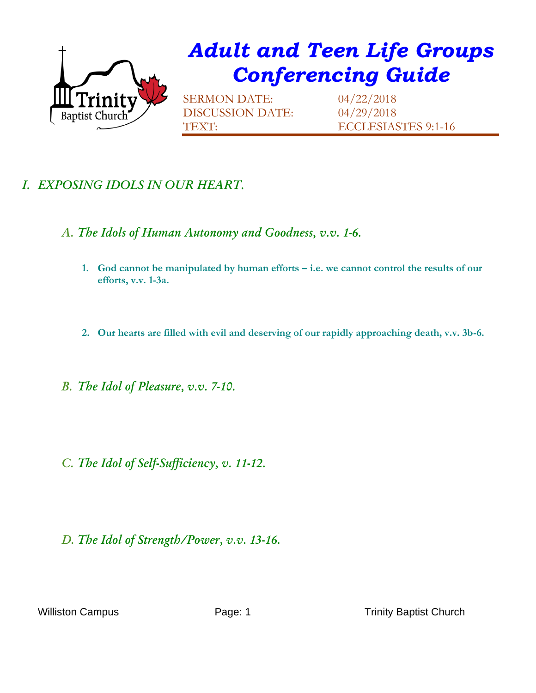

## *Adult and Teen Life Groups Conferencing Guide*

SERMON DATE: 04/22/2018 DISCUSSION DATE: 04/29/2018

TEXT: ECCLESIASTES 9:1-16

## *I. EXPOSING IDOLS IN OUR HEART.*

- *A. The Idols of Human Autonomy and Goodness, v.v. 1-6.*
	- 1. God cannot be manipulated by human efforts i.e. we cannot control the results of our **efforts, v.v. 1-3a.**
	- **2. Our hearts are filled with evil and deserving of our rapidly approaching death, v.v. 3b-6.**
- *B. The Idol of Pleasure, v.v. 7-10.*
- *C. The Idol of Self-Sufficiency, v. 11-12.*
- *D. The Idol of Strength/Power, v.v. 13-16.*